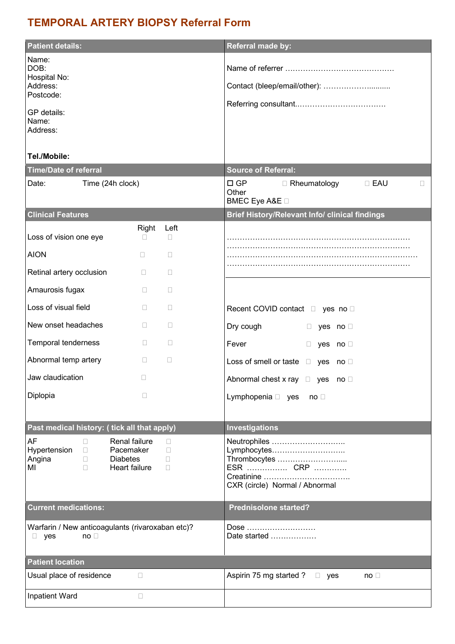## **TEMPORAL ARTERY BIOPSY Referral Form**

| <b>Patient details:</b>                                                                                                                                                            | Referral made by:                                                                         |
|------------------------------------------------------------------------------------------------------------------------------------------------------------------------------------|-------------------------------------------------------------------------------------------|
| Name:<br>DOB:                                                                                                                                                                      |                                                                                           |
| Hospital No:                                                                                                                                                                       |                                                                                           |
| Address:<br>Postcode:                                                                                                                                                              | Contact (bleep/email/other):                                                              |
| GP details:<br>Name:<br>Address:                                                                                                                                                   |                                                                                           |
| Tel./Mobile:                                                                                                                                                                       |                                                                                           |
| <b>Time/Date of referral</b>                                                                                                                                                       | <b>Source of Referral:</b>                                                                |
| Time (24h clock)<br>Date:                                                                                                                                                          | $\Box$ GP<br>$\square$ EAU<br>□ Rheumatology<br>□<br>Other                                |
|                                                                                                                                                                                    | <b>BMEC Eye A&amp;E</b> □                                                                 |
| <b>Clinical Features</b>                                                                                                                                                           | Brief History/Relevant Info/ clinical findings                                            |
| Right<br>Left<br>Loss of vision one eye<br>П<br>П                                                                                                                                  |                                                                                           |
| <b>AION</b><br>п<br>□                                                                                                                                                              |                                                                                           |
| Retinal artery occlusion<br>П<br>□                                                                                                                                                 |                                                                                           |
| Amaurosis fugax<br>П<br>□                                                                                                                                                          |                                                                                           |
| Loss of visual field<br>П<br>□                                                                                                                                                     | Recent COVID contact □ yes no □                                                           |
| New onset headaches<br>П<br>□                                                                                                                                                      | Dry cough<br>$\Box$ yes no $\Box$                                                         |
| Temporal tenderness<br>п<br>□                                                                                                                                                      | Fever<br>$\Box$ yes no $\Box$                                                             |
| Abnormal temp artery<br>П<br>$\Box$                                                                                                                                                |                                                                                           |
| Jaw claudication<br>$\Box$                                                                                                                                                         | Abnormal chest x ray $\Box$ yes no $\Box$                                                 |
| Diplopia<br>П                                                                                                                                                                      | Lymphopenia □ yes no □                                                                    |
|                                                                                                                                                                                    |                                                                                           |
| Past medical history: (tick all that apply)                                                                                                                                        | <b>Investigations</b>                                                                     |
| AF<br>Renal failure<br>$\Box$<br>u<br>Hypertension<br>Pacemaker<br>$\Box$<br>$\Box$<br><b>Diabetes</b><br>Angina<br>$\Box$<br>$\Box$<br><b>Heart failure</b><br>MI<br>П.<br>$\Box$ | Neutrophiles<br>Lymphocytes<br>Thrombocytes<br>ESR  CRP<br>CXR (circle) Normal / Abnormal |
| <b>Current medications:</b>                                                                                                                                                        | <b>Prednisolone started?</b>                                                              |
| Warfarin / New anticoagulants (rivaroxaban etc)?<br>$no \square$<br>$\Box$ yes                                                                                                     | Dose<br>Date started                                                                      |
| <b>Patient location</b>                                                                                                                                                            |                                                                                           |
| Usual place of residence<br>$\Box$                                                                                                                                                 | Aspirin 75 mg started ?<br>$\Box$ yes<br>$no \Box$                                        |
| Inpatient Ward<br>$\Box$                                                                                                                                                           |                                                                                           |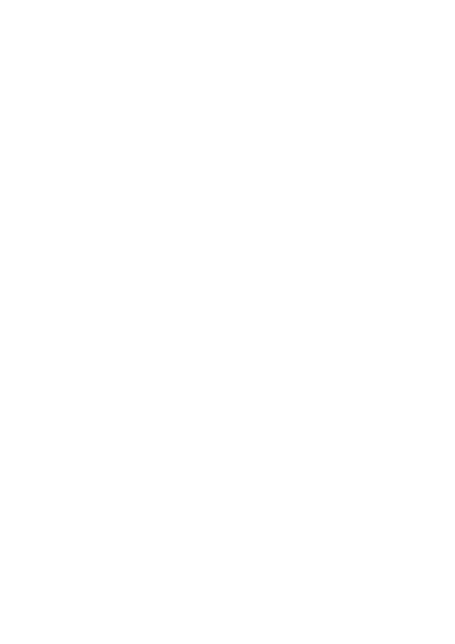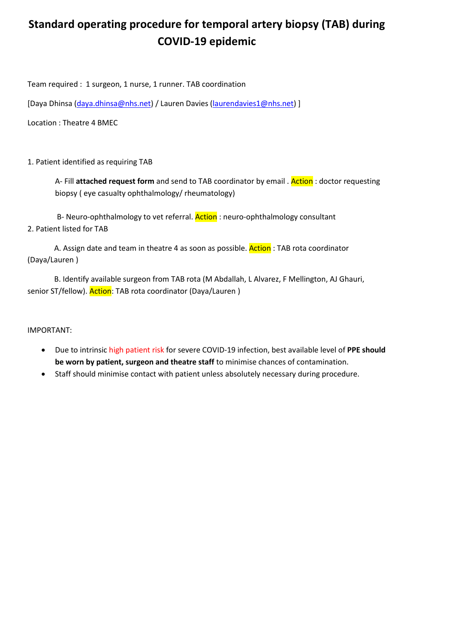# **Standard operating procedure for temporal artery biopsy (TAB) during COVID-19 epidemic**

Team required : 1 surgeon, 1 nurse, 1 runner. TAB coordination

[Daya Dhinsa [\(daya.dhinsa@nhs.net\)](mailto:daya.dhinsa@nhs.net) / Lauren Davies [\(laurendavies1@nhs.net\)](mailto:laurendavies1@nhs.net) ]

Location : Theatre 4 BMEC

#### 1. Patient identified as requiring TAB

A- Fill **attached request form** and send to TAB coordinator by email . Action : doctor requesting biopsy ( eye casualty ophthalmology/ rheumatology)

B- Neuro-ophthalmology to vet referral. Action: neuro-ophthalmology consultant 2. Patient listed for TAB

A. Assign date and team in theatre 4 as soon as possible. **Action**: TAB rota coordinator (Daya/Lauren )

B. Identify available surgeon from TAB rota (M Abdallah, L Alvarez, F Mellington, AJ Ghauri, senior ST/fellow). Action: TAB rota coordinator (Daya/Lauren)

#### IMPORTANT:

- Due to intrinsic high patient risk for severe COVID-19 infection, best available level of **PPE should be worn by patient, surgeon and theatre staff** to minimise chances of contamination.
- Staff should minimise contact with patient unless absolutely necessary during procedure.